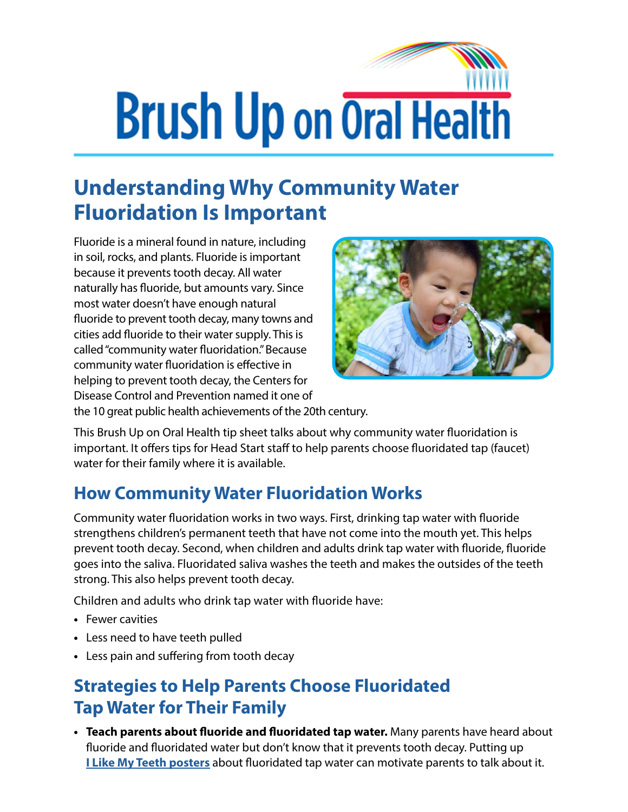## **Brush Up on Oral Health**

## **Understanding Why Community Water Fluoridation Is Important**

Fluoride is a mineral found in nature, including in soil, rocks, and plants. Fluoride is important because it prevents tooth decay. All water naturally has fluoride, but amounts vary. Since most water doesn't have enough natural fluoride to prevent tooth decay, many towns and cities add fluoride to their water supply. This is called "community water fluoridation." Because community water fluoridation is effective in helping to prevent tooth decay, the Centers for Disease Control and Prevention named it one of



the 10 great public health achievements of the 20th century.

This Brush Up on Oral Health tip sheet talks about why community water fluoridation is important. It offers tips for Head Start staff to help parents choose fluoridated tap (faucet) water for their family where it is available.

## **How Community Water Fluoridation Works**

Community water fluoridation works in two ways. First, drinking tap water with fluoride strengthens children's permanent teeth that have not come into the mouth yet. This helps prevent tooth decay. Second, when children and adults drink tap water with fluoride, fluoride goes into the saliva. Fluoridated saliva washes the teeth and makes the outsides of the teeth strong. This also helps prevent tooth decay.

Children and adults who drink tap water with fluoride have:

- **•** Fewer cavities
- **•** Less need to have teeth pulled
- **•** Less pain and suffering from tooth decay

## **Strategies to Help Parents Choose Fluoridated Tap Water for Their Family**

**• Teach parents about fluoride and fluoridated tap water.** Many parents have heard about fluoride and fluoridated water but don't know that it prevents tooth decay. Putting up **[I Like My Teeth posters](https://eclkc.ohs.acf.hhs.gov/oral-health/article/i-my-teeth-fluoride-posters)** about fluoridated tap water can motivate parents to talk about it.